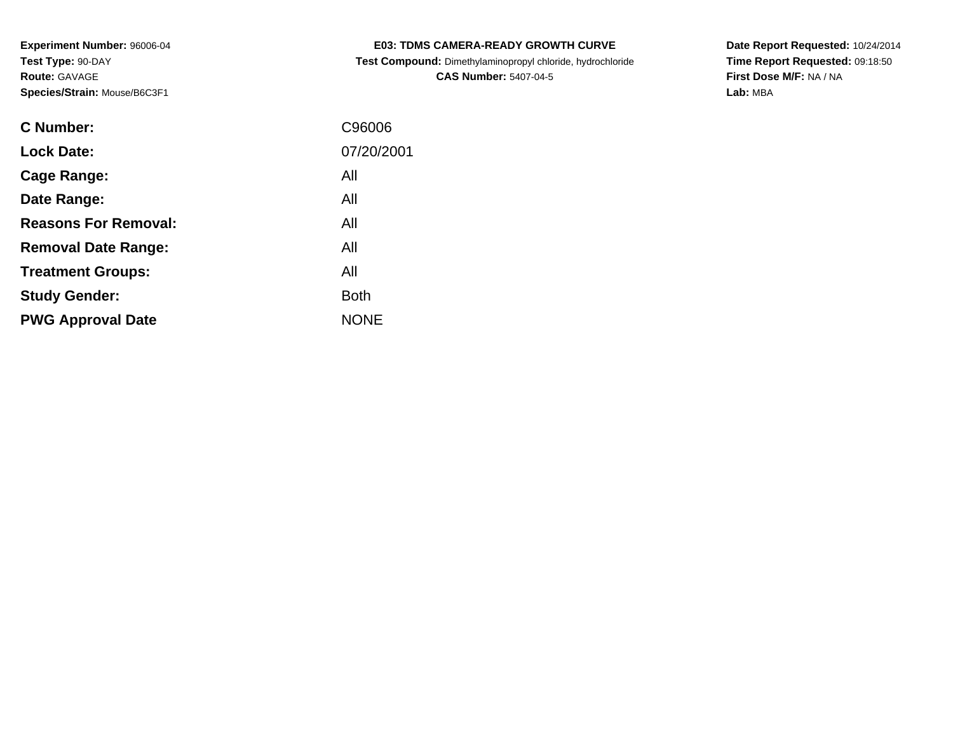| C Number:                   | C96006      |
|-----------------------------|-------------|
| <b>Lock Date:</b>           | 07/20/2001  |
| Cage Range:                 | All         |
| Date Range:                 | All         |
| <b>Reasons For Removal:</b> | All         |
| <b>Removal Date Range:</b>  | All         |
| <b>Treatment Groups:</b>    | All         |
| <b>Study Gender:</b>        | <b>Both</b> |
| <b>PWG Approval Date</b>    | <b>NONE</b> |

# **E03: TDMS CAMERA-READY GROWTH CURVETest Compound:** Dimethylaminopropyl chloride, hydrochloride

**CAS Number:** 5407-04-5

**Date Report Requested:** 10/24/2014**Time Report Requested:** 09:18:50**First Dose M/F:** NA / NA**Lab:** MBA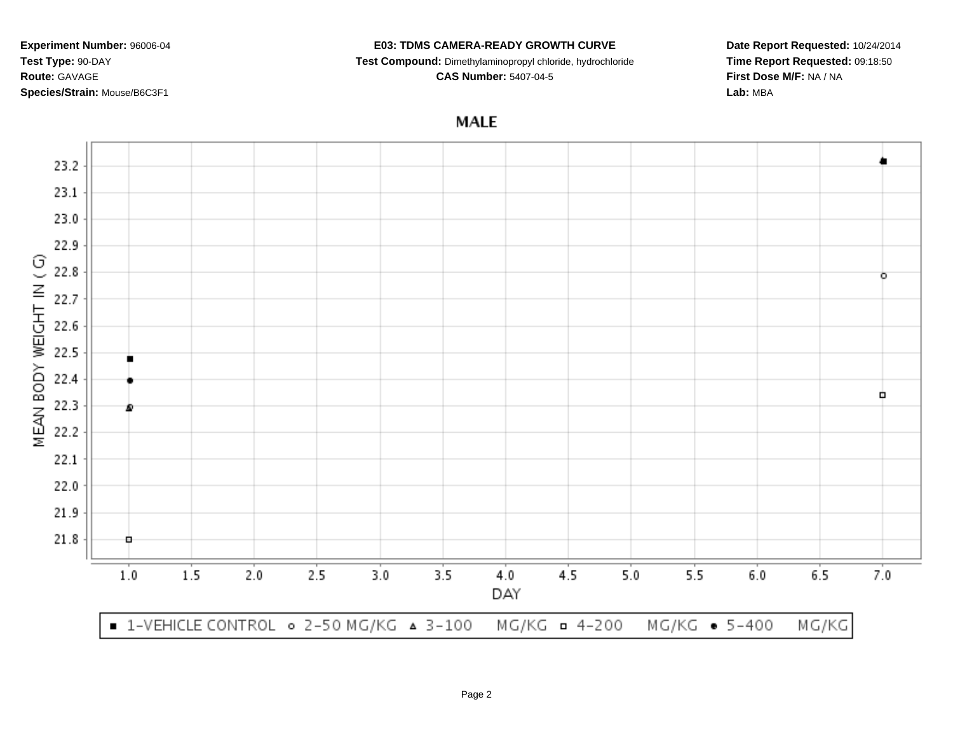#### **E03: TDMS CAMERA-READY GROWTH CURVE**

**Test Compound:** Dimethylaminopropyl chloride, hydrochloride

**CAS Number:** 5407-04-5

**Date Report Requested:** 10/24/2014**Time Report Requested:** 09:18:50**First Dose M/F:** NA / NA**Lab:** MBA

**MALE** 

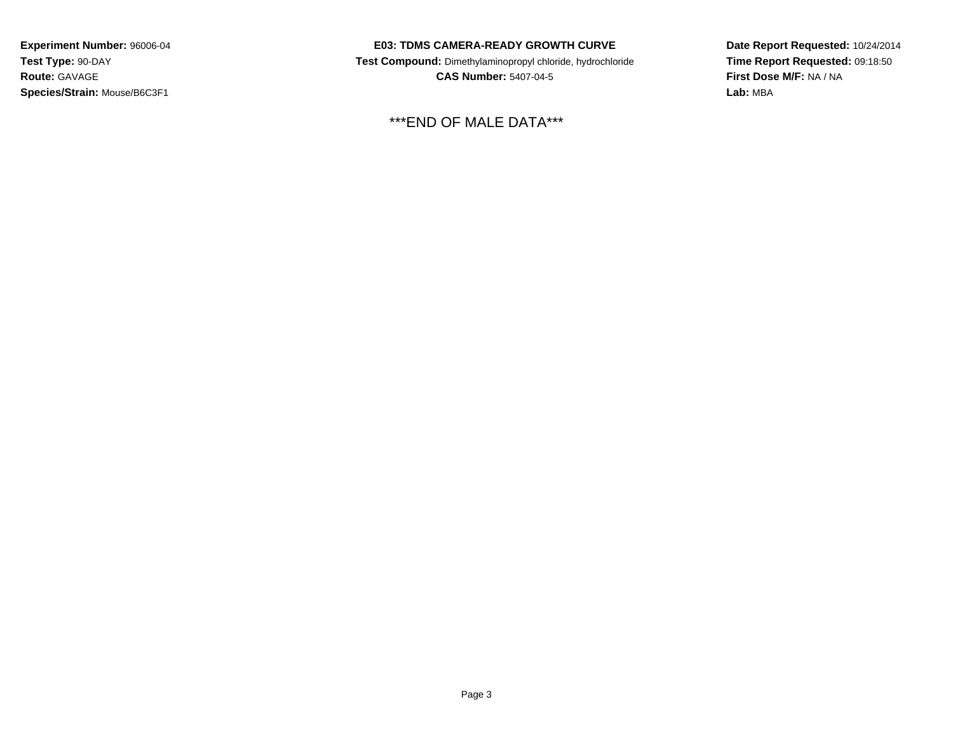### **E03: TDMS CAMERA-READY GROWTH CURVE**

 **Test Compound:** Dimethylaminopropyl chloride, hydrochloride**CAS Number:** 5407-04-5

\*\*\*END OF MALE DATA\*\*\*

**Date Report Requested:** 10/24/2014**Time Report Requested:** 09:18:50**First Dose M/F:** NA / NA**Lab:** MBA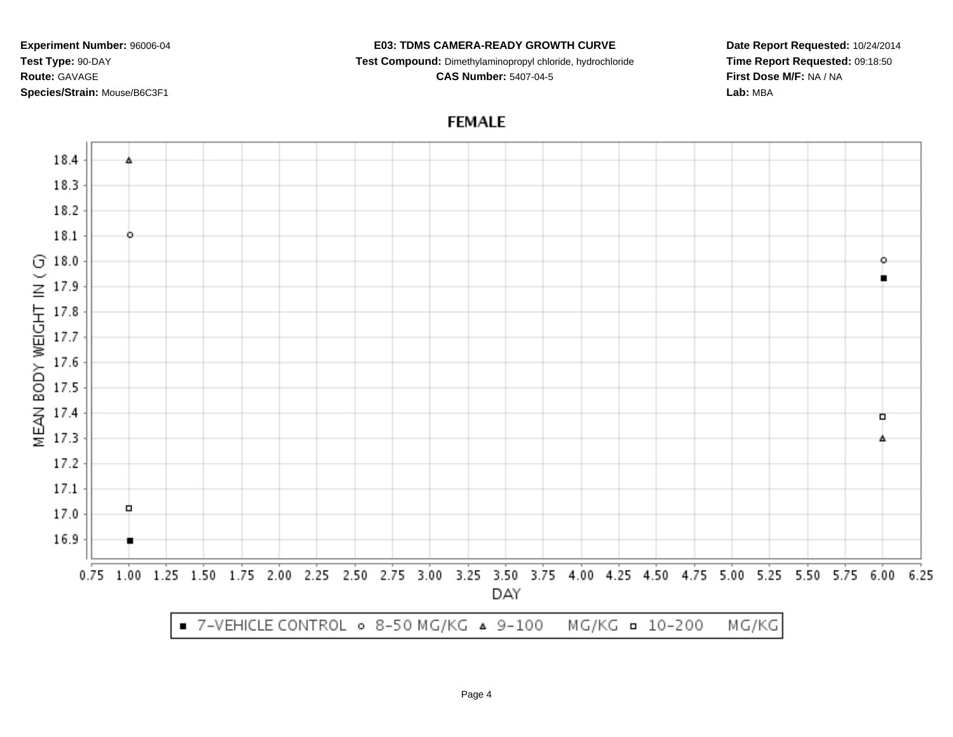#### **E03: TDMS CAMERA-READY GROWTH CURVE**

**Test Compound:** Dimethylaminopropyl chloride, hydrochloride

**CAS Number:** 5407-04-5

**Date Report Requested:** 10/24/2014**Time Report Requested:** 09:18:50**First Dose M/F:** NA / NA**Lab:** MBA

# **FEMALE**